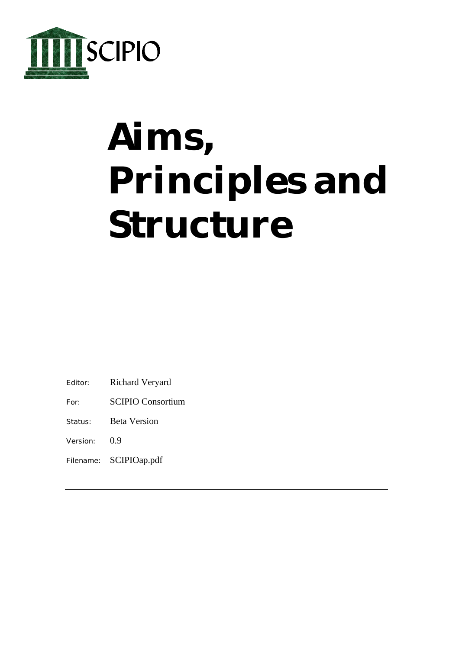

# **Aims, Principles and Structure**

- Editor: Richard Veryard
- For: SCIPIO Consortium
- Status: Beta Version
- Version: 0.9
- Filename: SCIPIOap.pdf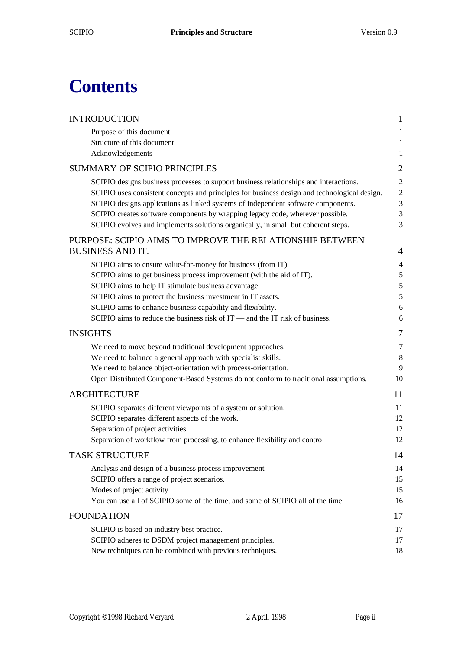### **Contents**

| <b>INTRODUCTION</b>                                                                          | $\mathbf{1}$   |
|----------------------------------------------------------------------------------------------|----------------|
| Purpose of this document                                                                     | $\mathbf{1}$   |
| Structure of this document                                                                   | $\mathbf{1}$   |
| Acknowledgements                                                                             | $\mathbf{1}$   |
| <b>SUMMARY OF SCIPIO PRINCIPLES</b>                                                          | $\mathbf{2}$   |
| SCIPIO designs business processes to support business relationships and interactions.        | $\overline{2}$ |
| SCIPIO uses consistent concepts and principles for business design and technological design. | $\overline{2}$ |
| SCIPIO designs applications as linked systems of independent software components.            | 3              |
| SCIPIO creates software components by wrapping legacy code, wherever possible.               | 3              |
| SCIPIO evolves and implements solutions organically, in small but coherent steps.            | 3              |
| PURPOSE: SCIPIO AIMS TO IMPROVE THE RELATIONSHIP BETWEEN                                     |                |
| <b>BUSINESS AND IT.</b>                                                                      | 4              |
| SCIPIO aims to ensure value-for-money for business (from IT).                                | $\overline{4}$ |
| SCIPIO aims to get business process improvement (with the aid of IT).                        | $\mathfrak s$  |
| SCIPIO aims to help IT stimulate business advantage.                                         | $\sqrt{5}$     |
| SCIPIO aims to protect the business investment in IT assets.                                 | 5              |
| SCIPIO aims to enhance business capability and flexibility.                                  | 6              |
| SCIPIO aims to reduce the business risk of $IT$ — and the $IT$ risk of business.             | 6              |
| <b>INSIGHTS</b>                                                                              | 7              |
| We need to move beyond traditional development approaches.                                   | 7              |
| We need to balance a general approach with specialist skills.                                | 8              |
| We need to balance object-orientation with process-orientation.                              | 9              |
| Open Distributed Component-Based Systems do not conform to traditional assumptions.          | 10             |
| <b>ARCHITECTURE</b>                                                                          | 11             |
| SCIPIO separates different viewpoints of a system or solution.                               | 11             |
| SCIPIO separates different aspects of the work.                                              | 12             |
| Separation of project activities                                                             | 12             |
| Separation of workflow from processing, to enhance flexibility and control                   | 12             |
| <b>TASK STRUCTURE</b>                                                                        | 14             |
| Analysis and design of a business process improvement                                        | 14             |
| SCIPIO offers a range of project scenarios.                                                  | 15             |
| Modes of project activity                                                                    | 15             |
| You can use all of SCIPIO some of the time, and some of SCIPIO all of the time.              | 16             |
| <b>FOUNDATION</b>                                                                            | 17             |
| SCIPIO is based on industry best practice.                                                   | 17             |
| SCIPIO adheres to DSDM project management principles.                                        | 17             |
| New techniques can be combined with previous techniques.                                     | 18             |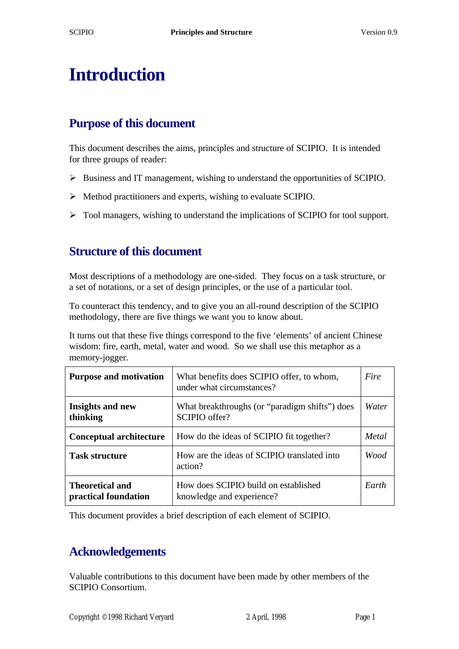### **Introduction**

#### **Purpose of this document**

This document describes the aims, principles and structure of SCIPIO. It is intended for three groups of reader:

- ÿ Business and IT management, wishing to understand the opportunities of SCIPIO.
- $\triangleright$  Method practitioners and experts, wishing to evaluate SCIPIO.
- $\triangleright$  Tool managers, wishing to understand the implications of SCIPIO for tool support.

#### **Structure of this document**

Most descriptions of a methodology are one-sided. They focus on a task structure, or a set of notations, or a set of design principles, or the use of a particular tool.

To counteract this tendency, and to give you an all-round description of the SCIPIO methodology, there are five things we want you to know about.

It turns out that these five things correspond to the five 'elements' of ancient Chinese wisdom: fire, earth, metal, water and wood. So we shall use this metaphor as a memory-jogger.

| <b>Purpose and motivation</b>                  | What benefits does SCIPIO offer, to whom,<br>under what circumstances? |       |
|------------------------------------------------|------------------------------------------------------------------------|-------|
| <b>Insights and new</b><br>thinking            | What breakthroughs (or "paradigm shifts") does<br>SCIPIO offer?        | Water |
| <b>Conceptual architecture</b>                 | How do the ideas of SCIPIO fit together?                               | Metal |
| <b>Task structure</b>                          | How are the ideas of SCIPIO translated into<br>action?                 | Wood  |
| <b>Theoretical and</b><br>practical foundation | How does SCIPIO build on established<br>knowledge and experience?      | Earth |

This document provides a brief description of each element of SCIPIO.

#### **Acknowledgements**

Valuable contributions to this document have been made by other members of the SCIPIO Consortium.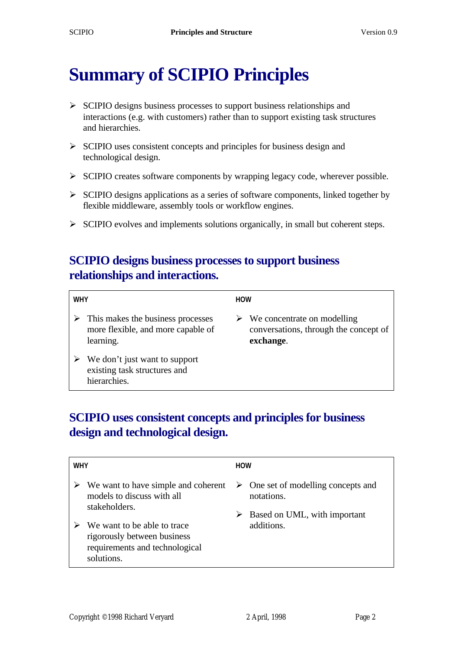### **Summary of SCIPIO Principles**

- $\triangleright$  SCIPIO designs business processes to support business relationships and interactions (e.g. with customers) rather than to support existing task structures and hierarchies.
- $\triangleright$  SCIPIO uses consistent concepts and principles for business design and technological design.
- $\triangleright$  SCIPIO creates software components by wrapping legacy code, wherever possible.
- $\triangleright$  SCIPIO designs applications as a series of software components, linked together by flexible middleware, assembly tools or workflow engines.
- $\triangleright$  SCIPIO evolves and implements solutions organically, in small but coherent steps.

#### **SCIPIO designs business processes to support business relationships and interactions.**

| <b>WHY</b>                                                                           | <b>HOW</b>                                                                                         |
|--------------------------------------------------------------------------------------|----------------------------------------------------------------------------------------------------|
| This makes the business processes<br>more flexible, and more capable of<br>learning. | $\triangleright$ We concentrate on modelling<br>conversations, through the concept of<br>exchange. |
| We don't just want to support<br>existing task structures and<br>hierarchies.        |                                                                                                    |

#### **SCIPIO uses consistent concepts and principles for business design and technological design.**

| <b>WHY</b> |                                                                                                            | <b>HOW</b>                                                                                            |
|------------|------------------------------------------------------------------------------------------------------------|-------------------------------------------------------------------------------------------------------|
|            | We want to have simple and coherent<br>models to discuss with all<br>stakeholders.                         | $\triangleright$ One set of modelling concepts and<br>notations.<br>Based on UML, with important<br>➤ |
|            | We want to be able to trace<br>rigorously between business<br>requirements and technological<br>solutions. | additions.                                                                                            |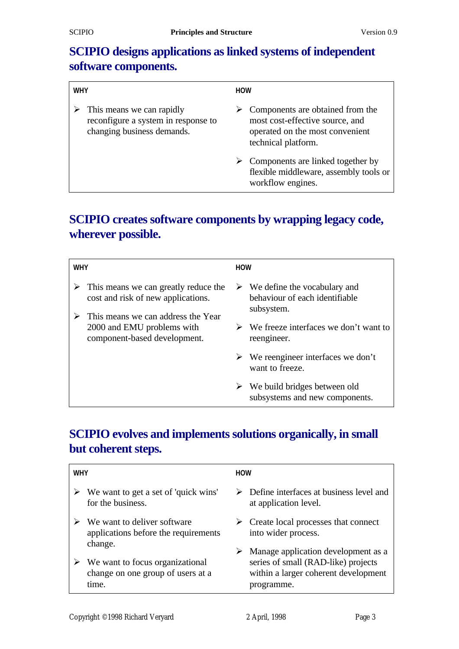#### **SCIPIO designs applications as linked systems of independent software components.**

| <b>WHY</b> |                                                                                                                 | <b>HOW</b> |                                                                                                                               |
|------------|-----------------------------------------------------------------------------------------------------------------|------------|-------------------------------------------------------------------------------------------------------------------------------|
|            | $\triangleright$ This means we can rapidly<br>reconfigure a system in response to<br>changing business demands. |            | Components are obtained from the<br>most cost-effective source, and<br>operated on the most convenient<br>technical platform. |
|            |                                                                                                                 |            | $\triangleright$ Components are linked together by<br>flexible middleware, assembly tools or<br>workflow engines.             |

#### **SCIPIO creates software components by wrapping legacy code, wherever possible.**

| <b>WHY</b> |                                                                                                                  | <b>HOW</b> |                                                                                               |
|------------|------------------------------------------------------------------------------------------------------------------|------------|-----------------------------------------------------------------------------------------------|
| ➤          | This means we can greatly reduce the<br>cost and risk of new applications.<br>This means we can address the Year |            | $\triangleright$ We define the vocabulary and<br>behaviour of each identifiable<br>subsystem. |
|            | 2000 and EMU problems with<br>component-based development.                                                       |            | $\triangleright$ We freeze interfaces we don't want to<br>reengineer.                         |
|            |                                                                                                                  |            | $\triangleright$ We reengineer interfaces we don't<br>want to freeze.                         |
|            |                                                                                                                  |            | $\triangleright$ We build bridges between old<br>subsystems and new components.               |

#### **SCIPIO evolves and implements solutions organically, in small but coherent steps.**

| <b>WHY</b> |                                                                                | <b>HOW</b> |                                                                                                                                  |
|------------|--------------------------------------------------------------------------------|------------|----------------------------------------------------------------------------------------------------------------------------------|
|            | We want to get a set of 'quick wins'<br>for the business.                      | ➤          | Define interfaces at business level and<br>at application level.                                                                 |
|            | We want to deliver software<br>applications before the requirements<br>change. |            | $\triangleright$ Create local processes that connect<br>into wider process.                                                      |
|            | We want to focus organizational<br>change on one group of users at a<br>time.  | ➤          | Manage application development as a<br>series of small (RAD-like) projects<br>within a larger coherent development<br>programme. |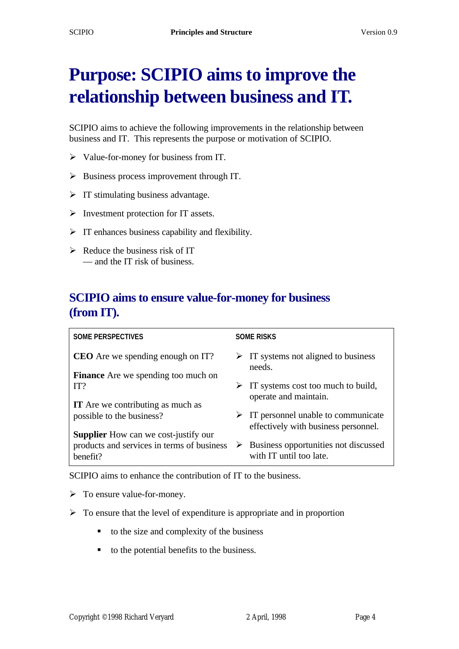## **Purpose: SCIPIO aims to improve the relationship between business and IT.**

SCIPIO aims to achieve the following improvements in the relationship between business and IT. This represents the purpose or motivation of SCIPIO.

- $\triangleright$  Value-for-money for business from IT.
- $\triangleright$  Business process improvement through IT.
- $\triangleright$  IT stimulating business advantage.
- $\triangleright$  Investment protection for IT assets.
- $\triangleright$  IT enhances business capability and flexibility.
- $\triangleright$  Reduce the business risk of IT — and the IT risk of business.

#### **SCIPIO aims to ensure value-for-money for business (from IT).**

| <b>SOME PERSPECTIVES</b>                               | <b>SOME RISKS</b>                                                                           |
|--------------------------------------------------------|---------------------------------------------------------------------------------------------|
| <b>CEO</b> Are we spending enough on IT?               | $\triangleright$ IT systems not aligned to business<br>needs.                               |
| <b>Finance</b> Are we spending too much on             |                                                                                             |
| IT?                                                    | IT systems cost too much to build,<br>➤<br>operate and maintain.                            |
| <b>IT</b> Are we contributing as much as               |                                                                                             |
| possible to the business?                              | $\triangleright$ IT personnel unable to communicate<br>effectively with business personnel. |
| <b>Supplier</b> How can we cost-justify our            |                                                                                             |
| products and services in terms of business<br>henefit? | $\triangleright$ Business opportunities not discussed<br>with IT until too late.            |

SCIPIO aims to enhance the contribution of IT to the business.

 $\triangleright$  To ensure value-for-money.

- $\triangleright$  To ensure that the level of expenditure is appropriate and in proportion
	- ß to the size and complexity of the business
	- $\blacksquare$  to the potential benefits to the business.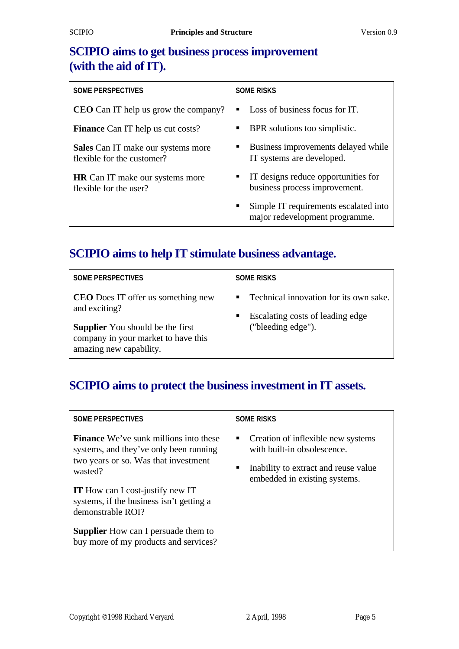#### **SCIPIO aims to get business process improvement (with the aid of IT).**

| <b>SOME RISKS</b>                                                            |  |
|------------------------------------------------------------------------------|--|
| Loss of business focus for IT.                                               |  |
| BPR solutions too simplistic.                                                |  |
| Business improvements delayed while<br>IT systems are developed.             |  |
| IT designs reduce opportunities for<br>business process improvement.         |  |
| Simple IT requirements escalated into<br>п<br>major redevelopment programme. |  |
|                                                                              |  |

#### **SCIPIO aims to help IT stimulate business advantage.**

**SOME PERSPECTIVES**

**SOME RISKS**

**CEO** Does IT offer us something new and exciting?

**Supplier** You should be the first company in your market to have this amazing new capability.

- ß Technical innovation for its own sake.
- $\blacksquare$  Escalating costs of leading edge ("bleeding edge").

#### **SCIPIO aims to protect the business investment in IT assets.**

#### **SOME PERSPECTIVES**

**Finance** We've sunk millions into these systems, and they've only been running two years or so. Was that investment wasted?

**IT** How can I cost-justify new IT systems, if the business isn't getting a demonstrable ROI?

**Supplier** How can I persuade them to buy more of my products and services?

#### **SOME RISKS**

- $\blacksquare$  Creation of inflexible new systems with built-in obsolescence.
- Inability to extract and reuse value embedded in existing systems.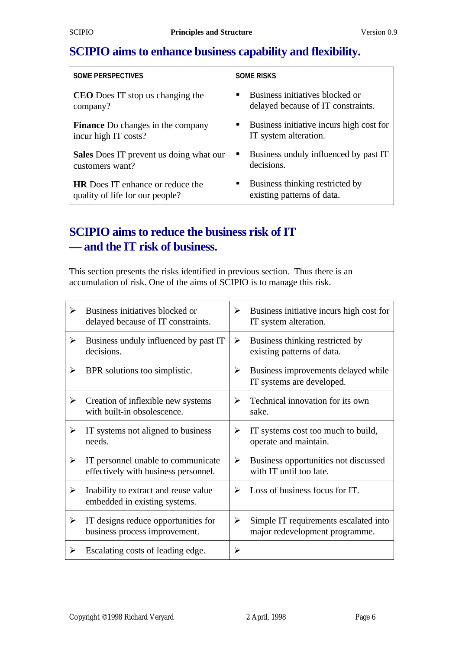#### **SCIPIO aims to enhance business capability and flexibility.**

#### **SOME PERSPECTIVES**

**CEO** Does IT stop us changing the company?

**Finance** Do changes in the company incur high IT costs?

**Sales** Does IT prevent us doing what our customers want?

**HR** Does IT enhance or reduce the quality of life for our people?

#### **SOME RISKS**

- $\blacksquare$  Business initiatives blocked or delayed because of IT constraints.
- $\blacksquare$  Business initiative incurs high cost for IT system alteration.
- Business unduly influenced by past IT decisions.
- $\blacksquare$  Business thinking restricted by existing patterns of data.

#### **SCIPIO aims to reduce the business risk of IT — and the IT risk of business.**

This section presents the risks identified in previous section. Thus there is an accumulation of risk. One of the aims of SCIPIO is to manage this risk.

| ➤                     | Business initiatives blocked or<br>delayed because of IT constraints.      | ➤                     | Business initiative incurs high cost for<br>IT system alteration.       |
|-----------------------|----------------------------------------------------------------------------|-----------------------|-------------------------------------------------------------------------|
| ➤                     | Business unduly influenced by past IT<br>decisions.                        | ➤                     | Business thinking restricted by<br>existing patterns of data.           |
| ➤                     | BPR solutions too simplistic.                                              | ≻                     | Business improvements delayed while<br>IT systems are developed.        |
| ➤                     | Creation of inflexible new systems<br>with built-in obsolescence.          | ⋗                     | Technical innovation for its own<br>sake.                               |
| ≻                     | IT systems not aligned to business<br>needs.                               | ➤                     | IT systems cost too much to build,<br>operate and maintain.             |
| $\blacktriangleright$ | IT personnel unable to communicate<br>effectively with business personnel. | $\blacktriangleright$ | Business opportunities not discussed<br>with IT until too late.         |
| ➤                     | Inability to extract and reuse value<br>embedded in existing systems.      | ➤                     | Loss of business focus for IT.                                          |
| ➤                     | IT designs reduce opportunities for<br>business process improvement.       | ➤                     | Simple IT requirements escalated into<br>major redevelopment programme. |
| ➤                     | Escalating costs of leading edge.                                          | ≻                     |                                                                         |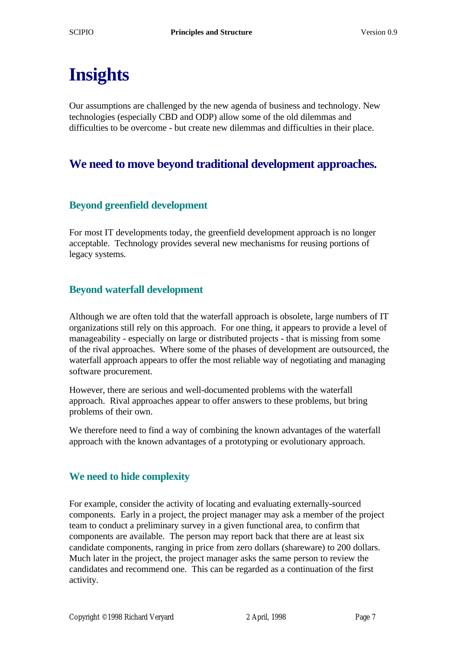# **Insights**

Our assumptions are challenged by the new agenda of business and technology. New technologies (especially CBD and ODP) allow some of the old dilemmas and difficulties to be overcome - but create new dilemmas and difficulties in their place.

#### **We need to move beyond traditional development approaches.**

#### **Beyond greenfield development**

For most IT developments today, the greenfield development approach is no longer acceptable. Technology provides several new mechanisms for reusing portions of legacy systems.

#### **Beyond waterfall development**

Although we are often told that the waterfall approach is obsolete, large numbers of IT organizations still rely on this approach. For one thing, it appears to provide a level of manageability - especially on large or distributed projects - that is missing from some of the rival approaches. Where some of the phases of development are outsourced, the waterfall approach appears to offer the most reliable way of negotiating and managing software procurement.

However, there are serious and well-documented problems with the waterfall approach. Rival approaches appear to offer answers to these problems, but bring problems of their own.

We therefore need to find a way of combining the known advantages of the waterfall approach with the known advantages of a prototyping or evolutionary approach.

#### **We need to hide complexity**

For example, consider the activity of locating and evaluating externally-sourced components. Early in a project, the project manager may ask a member of the project team to conduct a preliminary survey in a given functional area, to confirm that components are available. The person may report back that there are at least six candidate components, ranging in price from zero dollars (shareware) to 200 dollars. Much later in the project, the project manager asks the same person to review the candidates and recommend one. This can be regarded as a continuation of the first activity.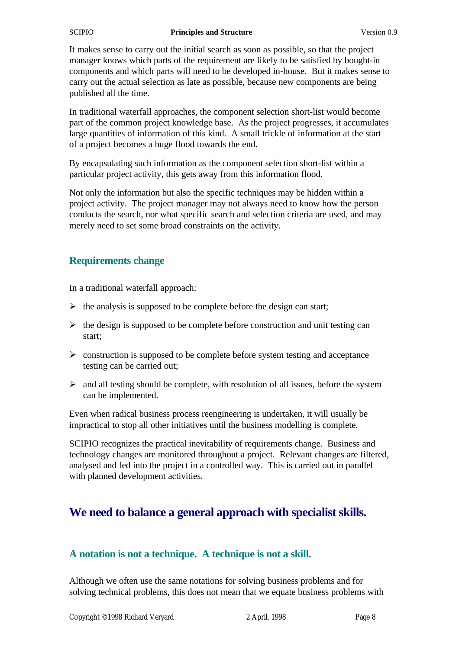#### **Principles and Structure** Version 0.9

It makes sense to carry out the initial search as soon as possible, so that the project manager knows which parts of the requirement are likely to be satisfied by bought-in components and which parts will need to be developed in-house. But it makes sense to carry out the actual selection as late as possible, because new components are being published all the time.

In traditional waterfall approaches, the component selection short-list would become part of the common project knowledge base. As the project progresses, it accumulates large quantities of information of this kind. A small trickle of information at the start of a project becomes a huge flood towards the end.

By encapsulating such information as the component selection short-list within a particular project activity, this gets away from this information flood.

Not only the information but also the specific techniques may be hidden within a project activity. The project manager may not always need to know how the person conducts the search, nor what specific search and selection criteria are used, and may merely need to set some broad constraints on the activity.

#### **Requirements change**

In a traditional waterfall approach:

- $\triangleright$  the analysis is supposed to be complete before the design can start;
- $\triangleright$  the design is supposed to be complete before construction and unit testing can start;
- $\triangleright$  construction is supposed to be complete before system testing and acceptance testing can be carried out;
- $\geq$  and all testing should be complete, with resolution of all issues, before the system can be implemented.

Even when radical business process reengineering is undertaken, it will usually be impractical to stop all other initiatives until the business modelling is complete.

SCIPIO recognizes the practical inevitability of requirements change. Business and technology changes are monitored throughout a project. Relevant changes are filtered, analysed and fed into the project in a controlled way. This is carried out in parallel with planned development activities.

#### **We need to balance a general approach with specialist skills.**

#### **A notation is not a technique. A technique is not a skill.**

Although we often use the same notations for solving business problems and for solving technical problems, this does not mean that we equate business problems with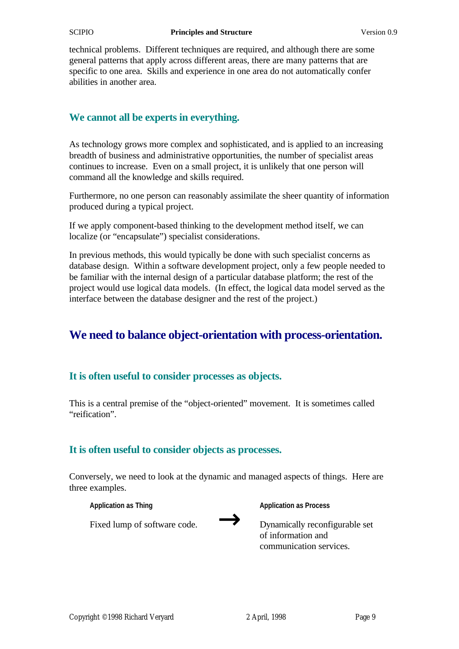technical problems. Different techniques are required, and although there are some general patterns that apply across different areas, there are many patterns that are specific to one area. Skills and experience in one area do not automatically confer abilities in another area.

#### **We cannot all be experts in everything.**

As technology grows more complex and sophisticated, and is applied to an increasing breadth of business and administrative opportunities, the number of specialist areas continues to increase. Even on a small project, it is unlikely that one person will command all the knowledge and skills required.

Furthermore, no one person can reasonably assimilate the sheer quantity of information produced during a typical project.

If we apply component-based thinking to the development method itself, we can localize (or "encapsulate") specialist considerations.

In previous methods, this would typically be done with such specialist concerns as database design. Within a software development project, only a few people needed to be familiar with the internal design of a particular database platform; the rest of the project would use logical data models. (In effect, the logical data model served as the interface between the database designer and the rest of the project.)

#### **We need to balance object-orientation with process-orientation.**

#### **It is often useful to consider processes as objects.**

This is a central premise of the "object-oriented" movement. It is sometimes called "reification".

#### **It is often useful to consider objects as processes.**

Conversely, we need to look at the dynamic and managed aspects of things. Here are three examples.

**Application as Thing**

**Application as Process**

Fixed lump of software code.



Dynamically reconfigurable set of information and communication services.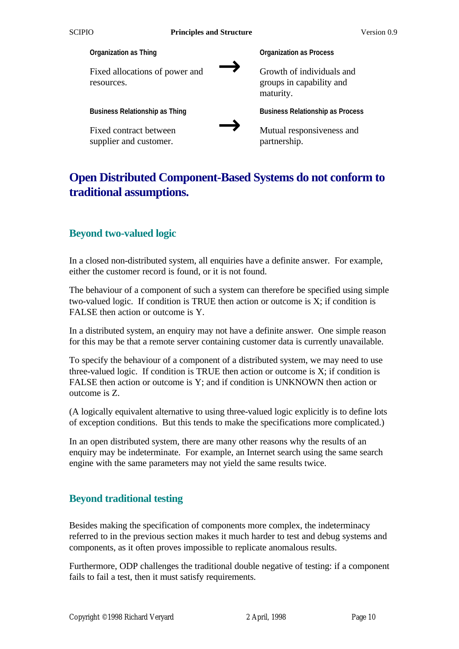

#### **Open Distributed Component-Based Systems do not conform to traditional assumptions.**

#### **Beyond two-valued logic**

In a closed non-distributed system, all enquiries have a definite answer. For example, either the customer record is found, or it is not found.

The behaviour of a component of such a system can therefore be specified using simple two-valued logic. If condition is TRUE then action or outcome is X; if condition is FALSE then action or outcome is Y.

In a distributed system, an enquiry may not have a definite answer. One simple reason for this may be that a remote server containing customer data is currently unavailable.

To specify the behaviour of a component of a distributed system, we may need to use three-valued logic. If condition is TRUE then action or outcome is  $X$ ; if condition is FALSE then action or outcome is Y; and if condition is UNKNOWN then action or outcome is Z.

(A logically equivalent alternative to using three-valued logic explicitly is to define lots of exception conditions. But this tends to make the specifications more complicated.)

In an open distributed system, there are many other reasons why the results of an enquiry may be indeterminate. For example, an Internet search using the same search engine with the same parameters may not yield the same results twice.

#### **Beyond traditional testing**

Besides making the specification of components more complex, the indeterminacy referred to in the previous section makes it much harder to test and debug systems and components, as it often proves impossible to replicate anomalous results.

Furthermore, ODP challenges the traditional double negative of testing: if a component fails to fail a test, then it must satisfy requirements.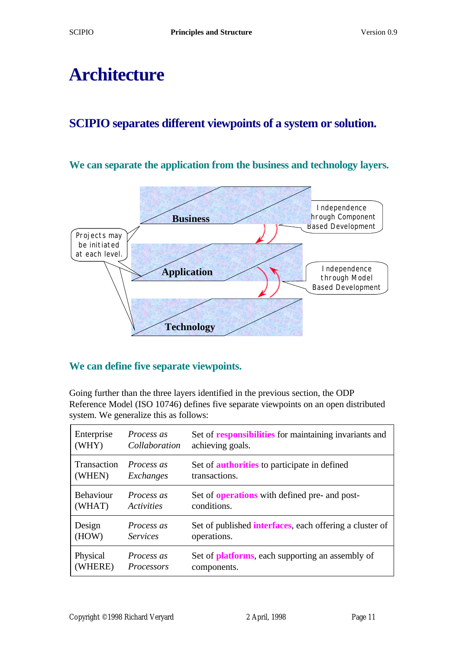### **Architecture**

#### **SCIPIO separates different viewpoints of a system or solution.**

#### **We can separate the application from the business and technology layers.**



#### **We can define five separate viewpoints.**

Going further than the three layers identified in the previous section, the ODP Reference Model (ISO 10746) defines five separate viewpoints on an open distributed system. We generalize this as follows:

| Enterprise         | <i>Process as</i> | Set of responsibilities for maintaining invariants and          |
|--------------------|-------------------|-----------------------------------------------------------------|
| (WHY)              | Collaboration     | achieving goals.                                                |
| <b>Transaction</b> | <i>Process as</i> | Set of <b>authorities</b> to participate in defined             |
| (WHEN)             | Exchanges         | transactions.                                                   |
| <b>Behaviour</b>   | <i>Process as</i> | Set of <b>operations</b> with defined pre- and post-            |
| (WHAT)             | Activities        | conditions.                                                     |
| Design             | <i>Process as</i> | Set of published <b>interfaces</b> , each offering a cluster of |
| (HOW)              | <i>Services</i>   | operations.                                                     |
| Physical           | <i>Process as</i> | Set of <b>platforms</b> , each supporting an assembly of        |
| (WHERE)            | Processors        | components.                                                     |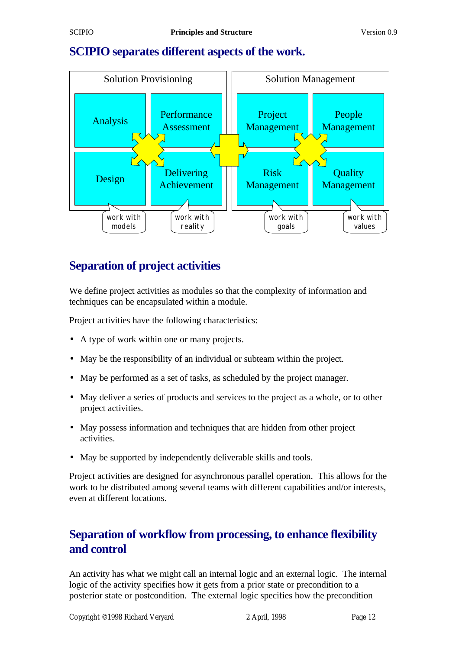#### **SCIPIO separates different aspects of the work.**



#### **Separation of project activities**

We define project activities as modules so that the complexity of information and techniques can be encapsulated within a module.

Project activities have the following characteristics:

- A type of work within one or many projects.
- May be the responsibility of an individual or subteam within the project.
- May be performed as a set of tasks, as scheduled by the project manager.
- May deliver a series of products and services to the project as a whole, or to other project activities.
- May possess information and techniques that are hidden from other project activities.
- May be supported by independently deliverable skills and tools.

Project activities are designed for asynchronous parallel operation. This allows for the work to be distributed among several teams with different capabilities and/or interests, even at different locations.

#### **Separation of workflow from processing, to enhance flexibility and control**

An activity has what we might call an internal logic and an external logic. The internal logic of the activity specifies how it gets from a prior state or precondition to a posterior state or postcondition. The external logic specifies how the precondition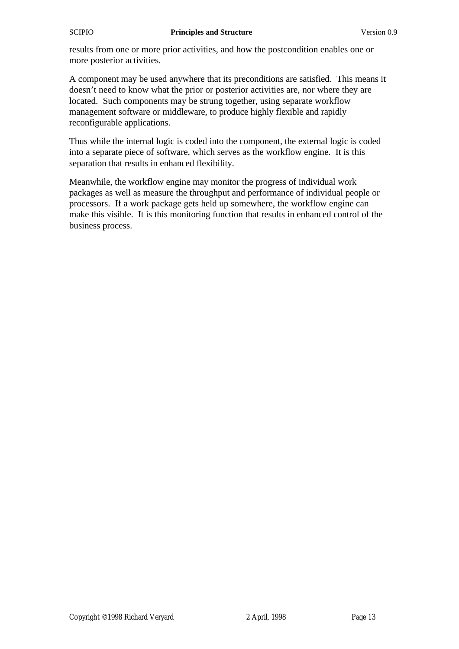results from one or more prior activities, and how the postcondition enables one or more posterior activities.

A component may be used anywhere that its preconditions are satisfied. This means it doesn't need to know what the prior or posterior activities are, nor where they are located. Such components may be strung together, using separate workflow management software or middleware, to produce highly flexible and rapidly reconfigurable applications.

Thus while the internal logic is coded into the component, the external logic is coded into a separate piece of software, which serves as the workflow engine. It is this separation that results in enhanced flexibility.

Meanwhile, the workflow engine may monitor the progress of individual work packages as well as measure the throughput and performance of individual people or processors. If a work package gets held up somewhere, the workflow engine can make this visible. It is this monitoring function that results in enhanced control of the business process.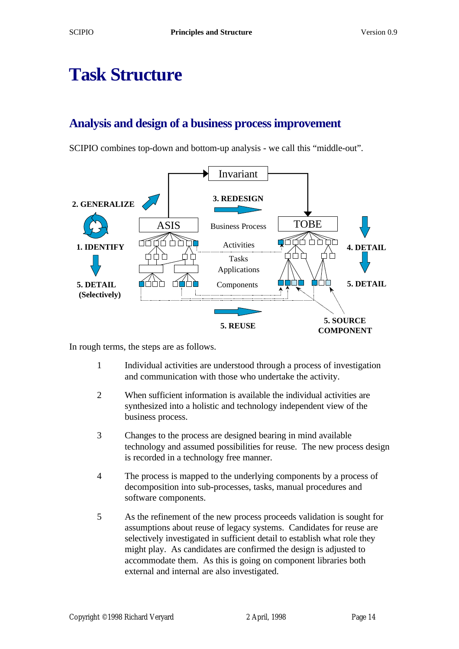### **Task Structure**

#### **Analysis and design of a business process improvement**

SCIPIO combines top-down and bottom-up analysis - we call this "middle-out".



In rough terms, the steps are as follows.

- 1 Individual activities are understood through a process of investigation and communication with those who undertake the activity.
- 2 When sufficient information is available the individual activities are synthesized into a holistic and technology independent view of the business process.
- 3 Changes to the process are designed bearing in mind available technology and assumed possibilities for reuse. The new process design is recorded in a technology free manner.
- 4 The process is mapped to the underlying components by a process of decomposition into sub-processes, tasks, manual procedures and software components.
- 5 As the refinement of the new process proceeds validation is sought for assumptions about reuse of legacy systems. Candidates for reuse are selectively investigated in sufficient detail to establish what role they might play. As candidates are confirmed the design is adjusted to accommodate them. As this is going on component libraries both external and internal are also investigated.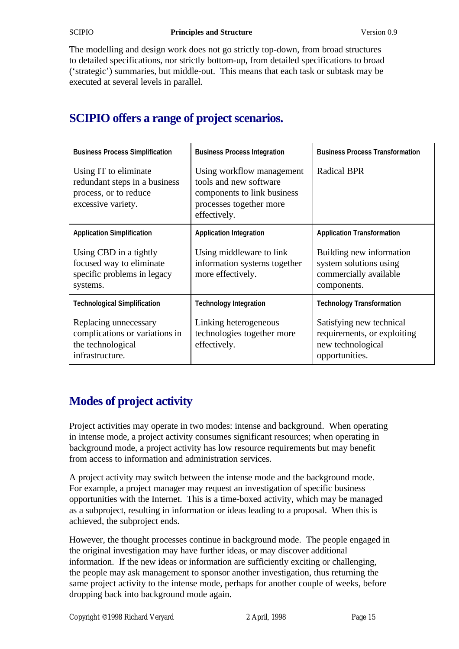The modelling and design work does not go strictly top-down, from broad structures to detailed specifications, nor strictly bottom-up, from detailed specifications to broad ('strategic') summaries, but middle-out. This means that each task or subtask may be executed at several levels in parallel.

### **SCIPIO offers a range of project scenarios.**

| <b>Business Process Simplification</b>                                                                | <b>Business Process Integration</b>                                                                                           | <b>Business Process Transformation</b>                                                         |
|-------------------------------------------------------------------------------------------------------|-------------------------------------------------------------------------------------------------------------------------------|------------------------------------------------------------------------------------------------|
| Using IT to eliminate<br>redundant steps in a business<br>process, or to reduce<br>excessive variety. | Using workflow management<br>tools and new software<br>components to link business<br>processes together more<br>effectively. | <b>Radical BPR</b>                                                                             |
| <b>Application Simplification</b>                                                                     | <b>Application Integration</b>                                                                                                | <b>Application Transformation</b>                                                              |
| Using CBD in a tightly<br>focused way to eliminate<br>specific problems in legacy<br>systems.         | Using middleware to link<br>information systems together<br>more effectively.                                                 | Building new information<br>system solutions using<br>commercially available<br>components.    |
| <b>Technological Simplification</b>                                                                   | <b>Technology Integration</b>                                                                                                 | <b>Technology Transformation</b>                                                               |
| Replacing unnecessary<br>complications or variations in<br>the technological<br>infrastructure.       | Linking heterogeneous<br>technologies together more<br>effectively.                                                           | Satisfying new technical<br>requirements, or exploiting<br>new technological<br>opportunities. |

### **Modes of project activity**

Project activities may operate in two modes: intense and background. When operating in intense mode, a project activity consumes significant resources; when operating in background mode, a project activity has low resource requirements but may benefit from access to information and administration services.

A project activity may switch between the intense mode and the background mode. For example, a project manager may request an investigation of specific business opportunities with the Internet. This is a time-boxed activity, which may be managed as a subproject, resulting in information or ideas leading to a proposal. When this is achieved, the subproject ends.

However, the thought processes continue in background mode. The people engaged in the original investigation may have further ideas, or may discover additional information. If the new ideas or information are sufficiently exciting or challenging, the people may ask management to sponsor another investigation, thus returning the same project activity to the intense mode, perhaps for another couple of weeks, before dropping back into background mode again.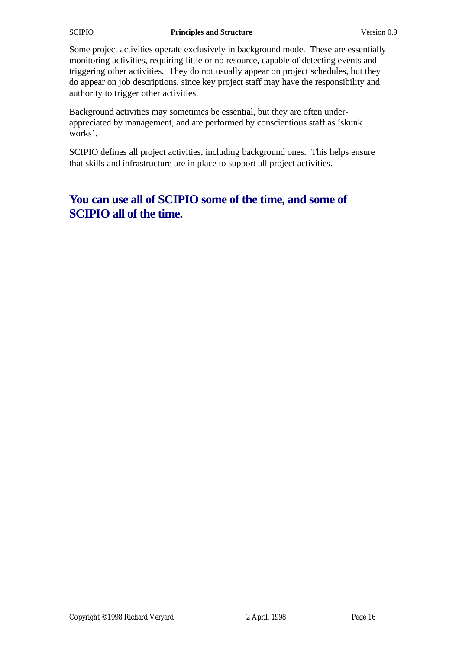#### **SCIPIO Principles and Structure** Version 0.9

Some project activities operate exclusively in background mode. These are essentially monitoring activities, requiring little or no resource, capable of detecting events and triggering other activities. They do not usually appear on project schedules, but they do appear on job descriptions, since key project staff may have the responsibility and authority to trigger other activities.

Background activities may sometimes be essential, but they are often underappreciated by management, and are performed by conscientious staff as 'skunk works'.

SCIPIO defines all project activities, including background ones. This helps ensure that skills and infrastructure are in place to support all project activities.

#### **You can use all of SCIPIO some of the time, and some of SCIPIO all of the time.**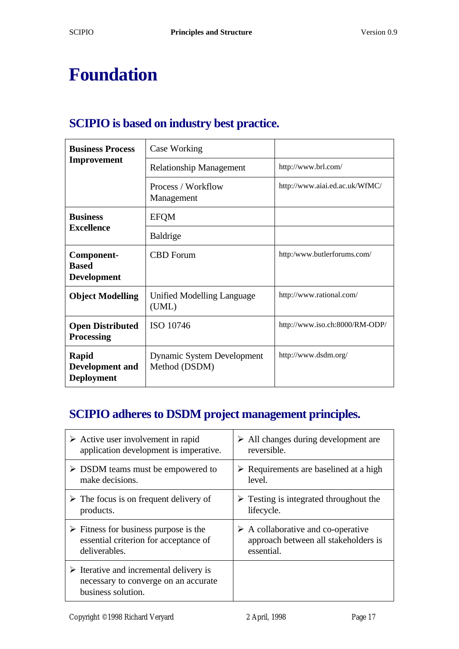### **Foundation**

#### **SCIPIO is based on industry best practice.**

| <b>Business Process</b><br>Improvement               | Case Working                                       |                                |
|------------------------------------------------------|----------------------------------------------------|--------------------------------|
|                                                      | <b>Relationship Management</b>                     | http://www.brl.com/            |
|                                                      | Process / Workflow<br>Management                   | http://www.aiai.ed.ac.uk/WfMC/ |
| <b>Business</b><br><b>Excellence</b>                 | <b>EFOM</b>                                        |                                |
|                                                      | <b>Baldrige</b>                                    |                                |
| Component-<br><b>Based</b><br><b>Development</b>     | <b>CBD</b> Forum                                   | http:/www.butlerforums.com/    |
| <b>Object Modelling</b>                              | Unified Modelling Language<br>(UML)                | http://www.rational.com/       |
| <b>Open Distributed</b><br><b>Processing</b>         | ISO 10746                                          | http://www.iso.ch:8000/RM-ODP/ |
| Rapid<br><b>Development and</b><br><b>Deployment</b> | <b>Dynamic System Development</b><br>Method (DSDM) | http://www.dsdm.org/           |

#### **SCIPIO adheres to DSDM project management principles.**

| $\triangleright$ Active user involvement in rapid                                                                    | $\triangleright$ All changes during development are   |
|----------------------------------------------------------------------------------------------------------------------|-------------------------------------------------------|
| application development is imperative.                                                                               | reversible.                                           |
| $\triangleright$ DSDM teams must be empowered to                                                                     | $\triangleright$ Requirements are baselined at a high |
| make decisions.                                                                                                      | level.                                                |
| $\triangleright$ The focus is on frequent delivery of                                                                | $\triangleright$ Testing is integrated throughout the |
| products.                                                                                                            | lifecycle.                                            |
| $\triangleright$ Fitness for business purpose is the                                                                 | $\triangleright$ A collaborative and co-operative     |
| essential criterion for acceptance of                                                                                | approach between all stakeholders is                  |
| deliverables.                                                                                                        | essential.                                            |
| $\triangleright$ Iterative and incremental delivery is<br>necessary to converge on an accurate<br>business solution. |                                                       |